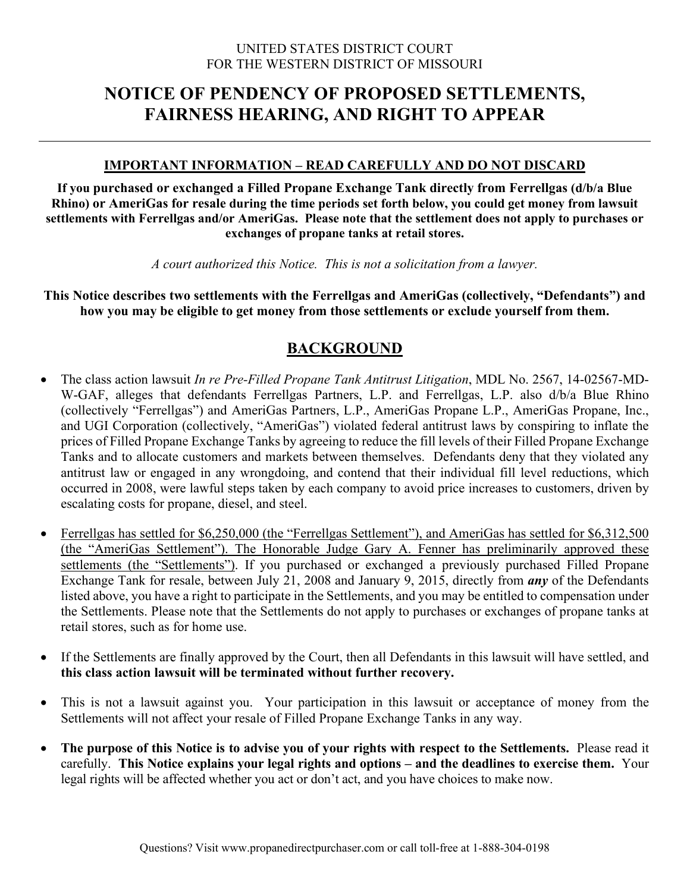### UNITED STATES DISTRICT COURT FOR THE WESTERN DISTRICT OF MISSOURI

# **NOTICE OF PENDENCY OF PROPOSED SETTLEMENTS, FAIRNESS HEARING, AND RIGHT TO APPEAR**

## **IMPORTANT INFORMATION – READ CAREFULLY AND DO NOT DISCARD**

**If you purchased or exchanged a Filled Propane Exchange Tank directly from Ferrellgas (d/b/a Blue Rhino) or AmeriGas for resale during the time periods set forth below, you could get money from lawsuit settlements with Ferrellgas and/or AmeriGas. Please note that the settlement does not apply to purchases or exchanges of propane tanks at retail stores.** 

*A court authorized this Notice. This is not a solicitation from a lawyer.* 

**This Notice describes two settlements with the Ferrellgas and AmeriGas (collectively, "Defendants") and how you may be eligible to get money from those settlements or exclude yourself from them.** 

## **BACKGROUND**

- The class action lawsuit *In re Pre-Filled Propane Tank Antitrust Litigation*, MDL No. 2567, 14-02567-MD-W-GAF, alleges that defendants Ferrellgas Partners, L.P. and Ferrellgas, L.P. also d/b/a Blue Rhino (collectively "Ferrellgas") and AmeriGas Partners, L.P., AmeriGas Propane L.P., AmeriGas Propane, Inc., and UGI Corporation (collectively, "AmeriGas") violated federal antitrust laws by conspiring to inflate the prices of Filled Propane Exchange Tanks by agreeing to reduce the fill levels of their Filled Propane Exchange Tanks and to allocate customers and markets between themselves. Defendants deny that they violated any antitrust law or engaged in any wrongdoing, and contend that their individual fill level reductions, which occurred in 2008, were lawful steps taken by each company to avoid price increases to customers, driven by escalating costs for propane, diesel, and steel.
- Ferrellgas has settled for \$6,250,000 (the "Ferrellgas Settlement"), and AmeriGas has settled for \$6,312,500 (the "AmeriGas Settlement"). The Honorable Judge Gary A. Fenner has preliminarily approved these settlements (the "Settlements"). If you purchased or exchanged a previously purchased Filled Propane Exchange Tank for resale, between July 21, 2008 and January 9, 2015, directly from *any* of the Defendants listed above, you have a right to participate in the Settlements, and you may be entitled to compensation under the Settlements. Please note that the Settlements do not apply to purchases or exchanges of propane tanks at retail stores, such as for home use.
- If the Settlements are finally approved by the Court, then all Defendants in this lawsuit will have settled, and **this class action lawsuit will be terminated without further recovery.**
- This is not a lawsuit against you. Your participation in this lawsuit or acceptance of money from the Settlements will not affect your resale of Filled Propane Exchange Tanks in any way.
- **The purpose of this Notice is to advise you of your rights with respect to the Settlements.** Please read it carefully. **This Notice explains your legal rights and options – and the deadlines to exercise them.** Your legal rights will be affected whether you act or don't act, and you have choices to make now.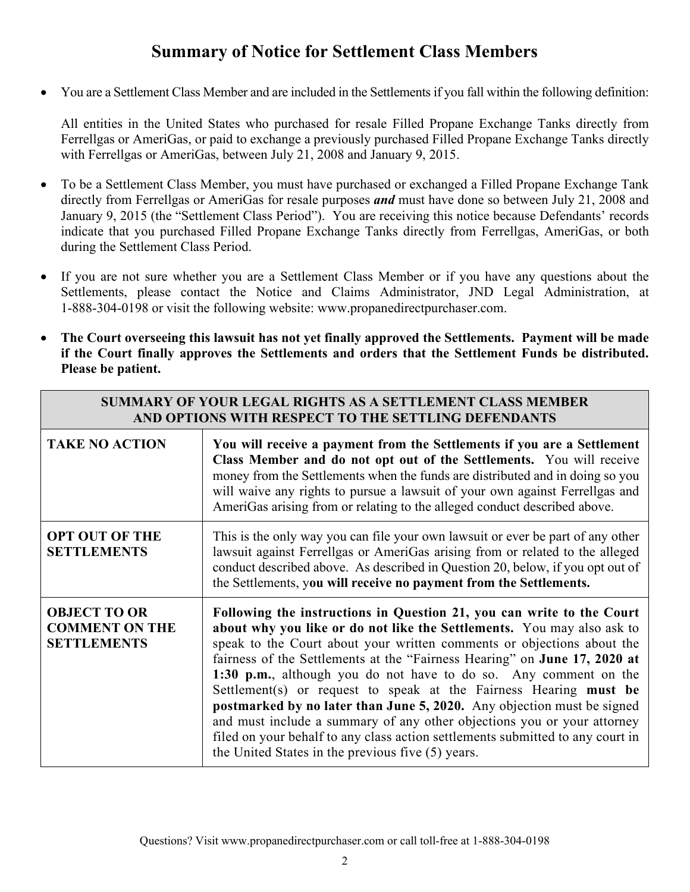# **Summary of Notice for Settlement Class Members**

You are a Settlement Class Member and are included in the Settlements if you fall within the following definition:

All entities in the United States who purchased for resale Filled Propane Exchange Tanks directly from Ferrellgas or AmeriGas, or paid to exchange a previously purchased Filled Propane Exchange Tanks directly with Ferrellgas or AmeriGas, between July 21, 2008 and January 9, 2015.

- To be a Settlement Class Member, you must have purchased or exchanged a Filled Propane Exchange Tank directly from Ferrellgas or AmeriGas for resale purposes *and* must have done so between July 21, 2008 and January 9, 2015 (the "Settlement Class Period"). You are receiving this notice because Defendants' records indicate that you purchased Filled Propane Exchange Tanks directly from Ferrellgas, AmeriGas, or both during the Settlement Class Period.
- If you are not sure whether you are a Settlement Class Member or if you have any questions about the Settlements, please contact the Notice and Claims Administrator, JND Legal Administration, at 1-888-304-0198 or visit the following website: www.propanedirectpurchaser.com.
- **The Court overseeing this lawsuit has not yet finally approved the Settlements. Payment will be made if the Court finally approves the Settlements and orders that the Settlement Funds be distributed. Please be patient.**

| <b>SUMMARY OF YOUR LEGAL RIGHTS AS A SETTLEMENT CLASS MEMBER</b><br>AND OPTIONS WITH RESPECT TO THE SETTLING DEFENDANTS |                                                                                                                                                                                                                                                                                                                                                                                                                                                                                                                                                                                                                                                                                                                                             |  |
|-------------------------------------------------------------------------------------------------------------------------|---------------------------------------------------------------------------------------------------------------------------------------------------------------------------------------------------------------------------------------------------------------------------------------------------------------------------------------------------------------------------------------------------------------------------------------------------------------------------------------------------------------------------------------------------------------------------------------------------------------------------------------------------------------------------------------------------------------------------------------------|--|
| <b>TAKE NO ACTION</b>                                                                                                   | You will receive a payment from the Settlements if you are a Settlement<br>Class Member and do not opt out of the Settlements. You will receive<br>money from the Settlements when the funds are distributed and in doing so you<br>will waive any rights to pursue a lawsuit of your own against Ferrellgas and<br>AmeriGas arising from or relating to the alleged conduct described above.                                                                                                                                                                                                                                                                                                                                               |  |
| <b>OPT OUT OF THE</b><br><b>SETTLEMENTS</b>                                                                             | This is the only way you can file your own lawsuit or ever be part of any other<br>lawsuit against Ferrellgas or AmeriGas arising from or related to the alleged<br>conduct described above. As described in Question 20, below, if you opt out of<br>the Settlements, you will receive no payment from the Settlements.                                                                                                                                                                                                                                                                                                                                                                                                                    |  |
| <b>OBJECT TO OR</b><br><b>COMMENT ON THE</b><br><b>SETTLEMENTS</b>                                                      | Following the instructions in Question 21, you can write to the Court<br>about why you like or do not like the Settlements. You may also ask to<br>speak to the Court about your written comments or objections about the<br>fairness of the Settlements at the "Fairness Hearing" on June 17, 2020 at<br>1:30 p.m., although you do not have to do so. Any comment on the<br>Settlement(s) or request to speak at the Fairness Hearing must be<br>postmarked by no later than June 5, 2020. Any objection must be signed<br>and must include a summary of any other objections you or your attorney<br>filed on your behalf to any class action settlements submitted to any court in<br>the United States in the previous five (5) years. |  |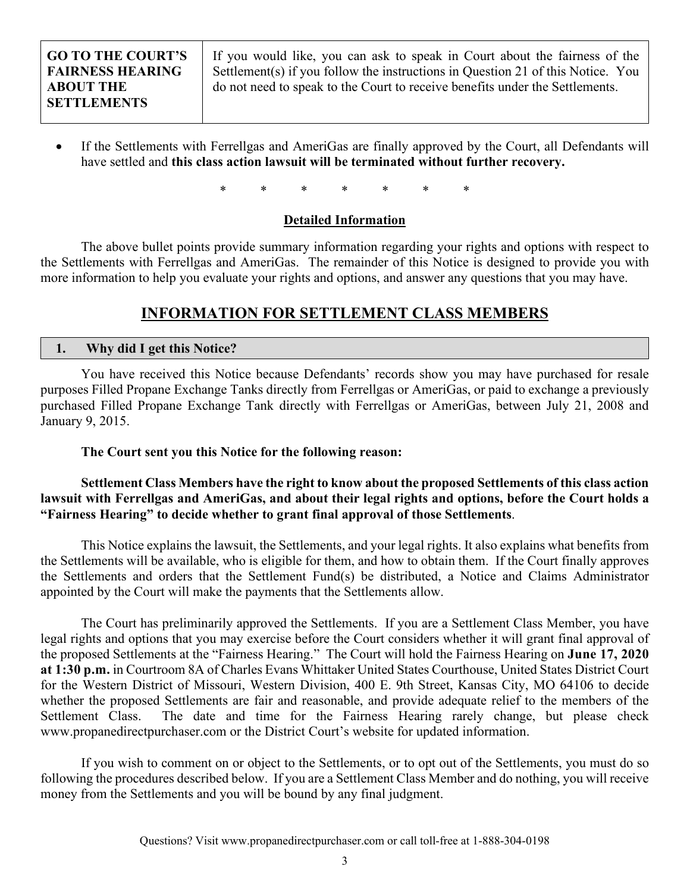If you would like, you can ask to speak in Court about the fairness of the Settlement(s) if you follow the instructions in Question 21 of this Notice. You do not need to speak to the Court to receive benefits under the Settlements.

 If the Settlements with Ferrellgas and AmeriGas are finally approved by the Court, all Defendants will have settled and **this class action lawsuit will be terminated without further recovery.** 

\* \* \* \* \* \* \*

### **Detailed Information**

 The above bullet points provide summary information regarding your rights and options with respect to the Settlements with Ferrellgas and AmeriGas. The remainder of this Notice is designed to provide you with more information to help you evaluate your rights and options, and answer any questions that you may have.

## **INFORMATION FOR SETTLEMENT CLASS MEMBERS**

## **1. Why did I get this Notice?**

You have received this Notice because Defendants' records show you may have purchased for resale purposes Filled Propane Exchange Tanks directly from Ferrellgas or AmeriGas, or paid to exchange a previously purchased Filled Propane Exchange Tank directly with Ferrellgas or AmeriGas, between July 21, 2008 and January 9, 2015.

### **The Court sent you this Notice for the following reason:**

## **Settlement Class Members have the right to know about the proposed Settlements of this class action lawsuit with Ferrellgas and AmeriGas, and about their legal rights and options, before the Court holds a "Fairness Hearing" to decide whether to grant final approval of those Settlements**.

This Notice explains the lawsuit, the Settlements, and your legal rights. It also explains what benefits from the Settlements will be available, who is eligible for them, and how to obtain them. If the Court finally approves the Settlements and orders that the Settlement Fund(s) be distributed, a Notice and Claims Administrator appointed by the Court will make the payments that the Settlements allow.

The Court has preliminarily approved the Settlements. If you are a Settlement Class Member, you have legal rights and options that you may exercise before the Court considers whether it will grant final approval of the proposed Settlements at the "Fairness Hearing." The Court will hold the Fairness Hearing on **June 17, 2020 at 1:30 p.m.** in Courtroom 8A of Charles Evans Whittaker United States Courthouse, United States District Court for the Western District of Missouri, Western Division, 400 E. 9th Street, Kansas City, MO 64106 to decide whether the proposed Settlements are fair and reasonable, and provide adequate relief to the members of the Settlement Class. The date and time for the Fairness Hearing rarely change, but please check www.propanedirectpurchaser.com or the District Court's website for updated information.

If you wish to comment on or object to the Settlements, or to opt out of the Settlements, you must do so following the procedures described below. If you are a Settlement Class Member and do nothing, you will receive money from the Settlements and you will be bound by any final judgment.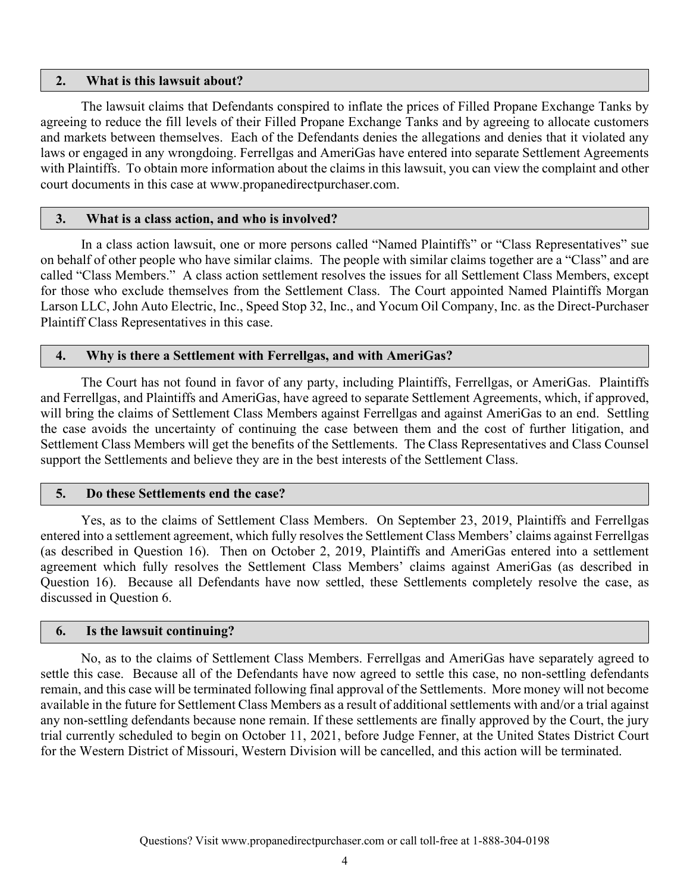#### **2. What is this lawsuit about?**

The lawsuit claims that Defendants conspired to inflate the prices of Filled Propane Exchange Tanks by agreeing to reduce the fill levels of their Filled Propane Exchange Tanks and by agreeing to allocate customers and markets between themselves. Each of the Defendants denies the allegations and denies that it violated any laws or engaged in any wrongdoing. Ferrellgas and AmeriGas have entered into separate Settlement Agreements with Plaintiffs. To obtain more information about the claims in this lawsuit, you can view the complaint and other court documents in this case at www.propanedirectpurchaser.com.

#### **3. What is a class action, and who is involved?**

In a class action lawsuit, one or more persons called "Named Plaintiffs" or "Class Representatives" sue on behalf of other people who have similar claims. The people with similar claims together are a "Class" and are called "Class Members." A class action settlement resolves the issues for all Settlement Class Members, except for those who exclude themselves from the Settlement Class. The Court appointed Named Plaintiffs Morgan Larson LLC, John Auto Electric, Inc., Speed Stop 32, Inc., and Yocum Oil Company, Inc. as the Direct-Purchaser Plaintiff Class Representatives in this case.

#### **4. Why is there a Settlement with Ferrellgas, and with AmeriGas?**

The Court has not found in favor of any party, including Plaintiffs, Ferrellgas, or AmeriGas. Plaintiffs and Ferrellgas, and Plaintiffs and AmeriGas, have agreed to separate Settlement Agreements, which, if approved, will bring the claims of Settlement Class Members against Ferrellgas and against AmeriGas to an end. Settling the case avoids the uncertainty of continuing the case between them and the cost of further litigation, and Settlement Class Members will get the benefits of the Settlements. The Class Representatives and Class Counsel support the Settlements and believe they are in the best interests of the Settlement Class.

#### **5. Do these Settlements end the case?**

Yes, as to the claims of Settlement Class Members. On September 23, 2019, Plaintiffs and Ferrellgas entered into a settlement agreement, which fully resolves the Settlement Class Members' claims against Ferrellgas (as described in Question 16). Then on October 2, 2019, Plaintiffs and AmeriGas entered into a settlement agreement which fully resolves the Settlement Class Members' claims against AmeriGas (as described in Question 16). Because all Defendants have now settled, these Settlements completely resolve the case, as discussed in Question 6.

#### **6. Is the lawsuit continuing?**

No, as to the claims of Settlement Class Members. Ferrellgas and AmeriGas have separately agreed to settle this case. Because all of the Defendants have now agreed to settle this case, no non-settling defendants remain, and this case will be terminated following final approval of the Settlements. More money will not become available in the future for Settlement Class Members as a result of additional settlements with and/or a trial against any non-settling defendants because none remain. If these settlements are finally approved by the Court, the jury trial currently scheduled to begin on October 11, 2021, before Judge Fenner, at the United States District Court for the Western District of Missouri, Western Division will be cancelled, and this action will be terminated.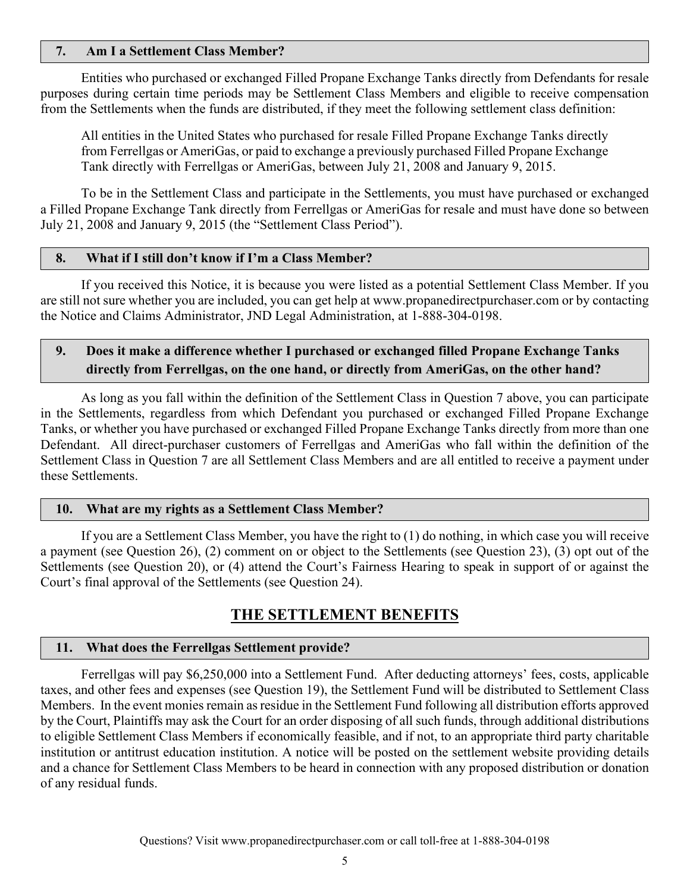#### **7. Am I a Settlement Class Member?**

Entities who purchased or exchanged Filled Propane Exchange Tanks directly from Defendants for resale purposes during certain time periods may be Settlement Class Members and eligible to receive compensation from the Settlements when the funds are distributed, if they meet the following settlement class definition:

All entities in the United States who purchased for resale Filled Propane Exchange Tanks directly from Ferrellgas or AmeriGas, or paid to exchange a previously purchased Filled Propane Exchange Tank directly with Ferrellgas or AmeriGas, between July 21, 2008 and January 9, 2015.

To be in the Settlement Class and participate in the Settlements, you must have purchased or exchanged a Filled Propane Exchange Tank directly from Ferrellgas or AmeriGas for resale and must have done so between July 21, 2008 and January 9, 2015 (the "Settlement Class Period").

#### **8. What if I still don't know if I'm a Class Member?**

If you received this Notice, it is because you were listed as a potential Settlement Class Member. If you are still not sure whether you are included, you can get help at www.propanedirectpurchaser.com or by contacting the Notice and Claims Administrator, JND Legal Administration, at 1-888-304-0198.

## **9. Does it make a difference whether I purchased or exchanged filled Propane Exchange Tanks directly from Ferrellgas, on the one hand, or directly from AmeriGas, on the other hand?**

As long as you fall within the definition of the Settlement Class in Question 7 above, you can participate in the Settlements, regardless from which Defendant you purchased or exchanged Filled Propane Exchange Tanks, or whether you have purchased or exchanged Filled Propane Exchange Tanks directly from more than one Defendant. All direct-purchaser customers of Ferrellgas and AmeriGas who fall within the definition of the Settlement Class in Question 7 are all Settlement Class Members and are all entitled to receive a payment under these Settlements.

#### **10. What are my rights as a Settlement Class Member?**

If you are a Settlement Class Member, you have the right to (1) do nothing, in which case you will receive a payment (see Question 26), (2) comment on or object to the Settlements (see Question 23), (3) opt out of the Settlements (see Question 20), or (4) attend the Court's Fairness Hearing to speak in support of or against the Court's final approval of the Settlements (see Question 24).

## **THE SETTLEMENT BENEFITS**

#### **11. What does the Ferrellgas Settlement provide?**

Ferrellgas will pay \$6,250,000 into a Settlement Fund. After deducting attorneys' fees, costs, applicable taxes, and other fees and expenses (see Question 19), the Settlement Fund will be distributed to Settlement Class Members. In the event monies remain as residue in the Settlement Fund following all distribution efforts approved by the Court, Plaintiffs may ask the Court for an order disposing of all such funds, through additional distributions to eligible Settlement Class Members if economically feasible, and if not, to an appropriate third party charitable institution or antitrust education institution. A notice will be posted on the settlement website providing details and a chance for Settlement Class Members to be heard in connection with any proposed distribution or donation of any residual funds.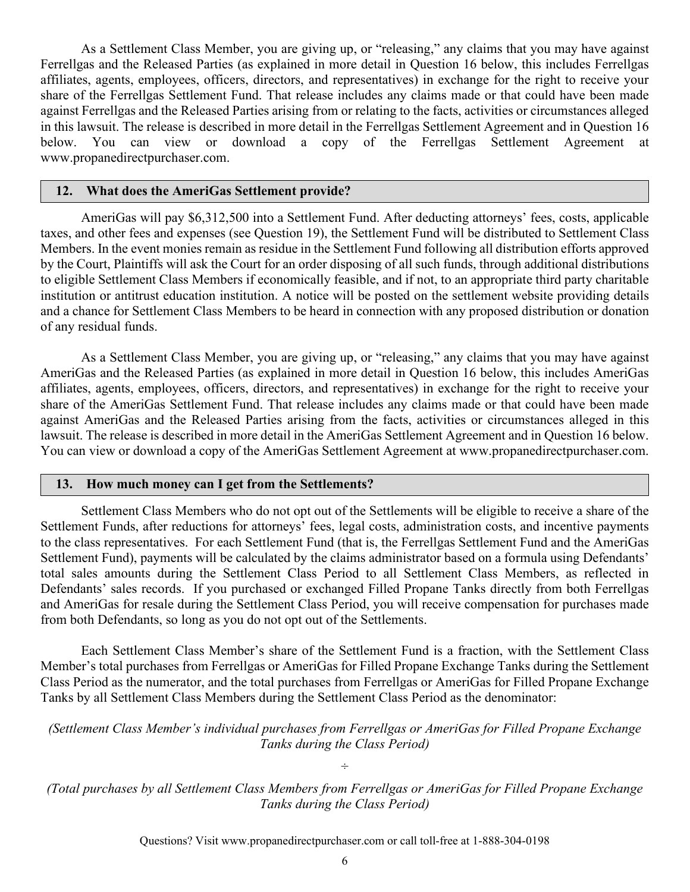As a Settlement Class Member, you are giving up, or "releasing," any claims that you may have against Ferrellgas and the Released Parties (as explained in more detail in Question 16 below, this includes Ferrellgas affiliates, agents, employees, officers, directors, and representatives) in exchange for the right to receive your share of the Ferrellgas Settlement Fund. That release includes any claims made or that could have been made against Ferrellgas and the Released Parties arising from or relating to the facts, activities or circumstances alleged in this lawsuit. The release is described in more detail in the Ferrellgas Settlement Agreement and in Question 16 below. You can view or download a copy of the Ferrellgas Settlement Agreement at www.propanedirectpurchaser.com.

#### **12. What does the AmeriGas Settlement provide?**

AmeriGas will pay \$6,312,500 into a Settlement Fund. After deducting attorneys' fees, costs, applicable taxes, and other fees and expenses (see Question 19), the Settlement Fund will be distributed to Settlement Class Members. In the event monies remain as residue in the Settlement Fund following all distribution efforts approved by the Court, Plaintiffs will ask the Court for an order disposing of all such funds, through additional distributions to eligible Settlement Class Members if economically feasible, and if not, to an appropriate third party charitable institution or antitrust education institution. A notice will be posted on the settlement website providing details and a chance for Settlement Class Members to be heard in connection with any proposed distribution or donation of any residual funds.

As a Settlement Class Member, you are giving up, or "releasing," any claims that you may have against AmeriGas and the Released Parties (as explained in more detail in Question 16 below, this includes AmeriGas affiliates, agents, employees, officers, directors, and representatives) in exchange for the right to receive your share of the AmeriGas Settlement Fund. That release includes any claims made or that could have been made against AmeriGas and the Released Parties arising from the facts, activities or circumstances alleged in this lawsuit. The release is described in more detail in the AmeriGas Settlement Agreement and in Question 16 below. You can view or download a copy of the AmeriGas Settlement Agreement at www.propanedirectpurchaser.com.

#### **13. How much money can I get from the Settlements?**

Settlement Class Members who do not opt out of the Settlements will be eligible to receive a share of the Settlement Funds, after reductions for attorneys' fees, legal costs, administration costs, and incentive payments to the class representatives. For each Settlement Fund (that is, the Ferrellgas Settlement Fund and the AmeriGas Settlement Fund), payments will be calculated by the claims administrator based on a formula using Defendants' total sales amounts during the Settlement Class Period to all Settlement Class Members, as reflected in Defendants' sales records. If you purchased or exchanged Filled Propane Tanks directly from both Ferrellgas and AmeriGas for resale during the Settlement Class Period, you will receive compensation for purchases made from both Defendants, so long as you do not opt out of the Settlements.

Each Settlement Class Member's share of the Settlement Fund is a fraction, with the Settlement Class Member's total purchases from Ferrellgas or AmeriGas for Filled Propane Exchange Tanks during the Settlement Class Period as the numerator, and the total purchases from Ferrellgas or AmeriGas for Filled Propane Exchange Tanks by all Settlement Class Members during the Settlement Class Period as the denominator:

*(Settlement Class Member's individual purchases from Ferrellgas or AmeriGas for Filled Propane Exchange Tanks during the Class Period)* 

*÷* 

*(Total purchases by all Settlement Class Members from Ferrellgas or AmeriGas for Filled Propane Exchange Tanks during the Class Period)*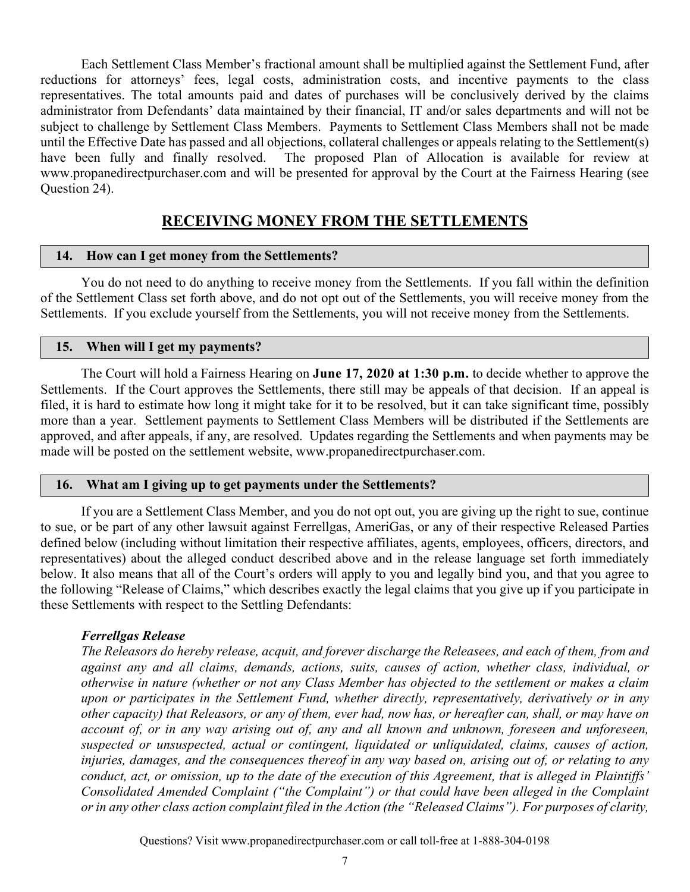Each Settlement Class Member's fractional amount shall be multiplied against the Settlement Fund, after reductions for attorneys' fees, legal costs, administration costs, and incentive payments to the class representatives. The total amounts paid and dates of purchases will be conclusively derived by the claims administrator from Defendants' data maintained by their financial, IT and/or sales departments and will not be subject to challenge by Settlement Class Members. Payments to Settlement Class Members shall not be made until the Effective Date has passed and all objections, collateral challenges or appeals relating to the Settlement(s) have been fully and finally resolved. The proposed Plan of Allocation is available for review at www.propanedirectpurchaser.com and will be presented for approval by the Court at the Fairness Hearing (see Question 24).

## **RECEIVING MONEY FROM THE SETTLEMENTS**

#### **14. How can I get money from the Settlements?**

You do not need to do anything to receive money from the Settlements. If you fall within the definition of the Settlement Class set forth above, and do not opt out of the Settlements, you will receive money from the Settlements. If you exclude yourself from the Settlements, you will not receive money from the Settlements.

#### **15. When will I get my payments?**

The Court will hold a Fairness Hearing on **June 17, 2020 at 1:30 p.m.** to decide whether to approve the Settlements. If the Court approves the Settlements, there still may be appeals of that decision. If an appeal is filed, it is hard to estimate how long it might take for it to be resolved, but it can take significant time, possibly more than a year. Settlement payments to Settlement Class Members will be distributed if the Settlements are approved, and after appeals, if any, are resolved. Updates regarding the Settlements and when payments may be made will be posted on the settlement website, www.propanedirectpurchaser.com.

#### **16. What am I giving up to get payments under the Settlements?**

If you are a Settlement Class Member, and you do not opt out, you are giving up the right to sue, continue to sue, or be part of any other lawsuit against Ferrellgas, AmeriGas, or any of their respective Released Parties defined below (including without limitation their respective affiliates, agents, employees, officers, directors, and representatives) about the alleged conduct described above and in the release language set forth immediately below. It also means that all of the Court's orders will apply to you and legally bind you, and that you agree to the following "Release of Claims," which describes exactly the legal claims that you give up if you participate in these Settlements with respect to the Settling Defendants:

#### *Ferrellgas Release*

*The Releasors do hereby release, acquit, and forever discharge the Releasees, and each of them, from and against any and all claims, demands, actions, suits, causes of action, whether class, individual, or otherwise in nature (whether or not any Class Member has objected to the settlement or makes a claim upon or participates in the Settlement Fund, whether directly, representatively, derivatively or in any other capacity) that Releasors, or any of them, ever had, now has, or hereafter can, shall, or may have on account of, or in any way arising out of, any and all known and unknown, foreseen and unforeseen, suspected or unsuspected, actual or contingent, liquidated or unliquidated, claims, causes of action, injuries, damages, and the consequences thereof in any way based on, arising out of, or relating to any conduct, act, or omission, up to the date of the execution of this Agreement, that is alleged in Plaintiffs' Consolidated Amended Complaint ("the Complaint") or that could have been alleged in the Complaint or in any other class action complaint filed in the Action (the "Released Claims"). For purposes of clarity,*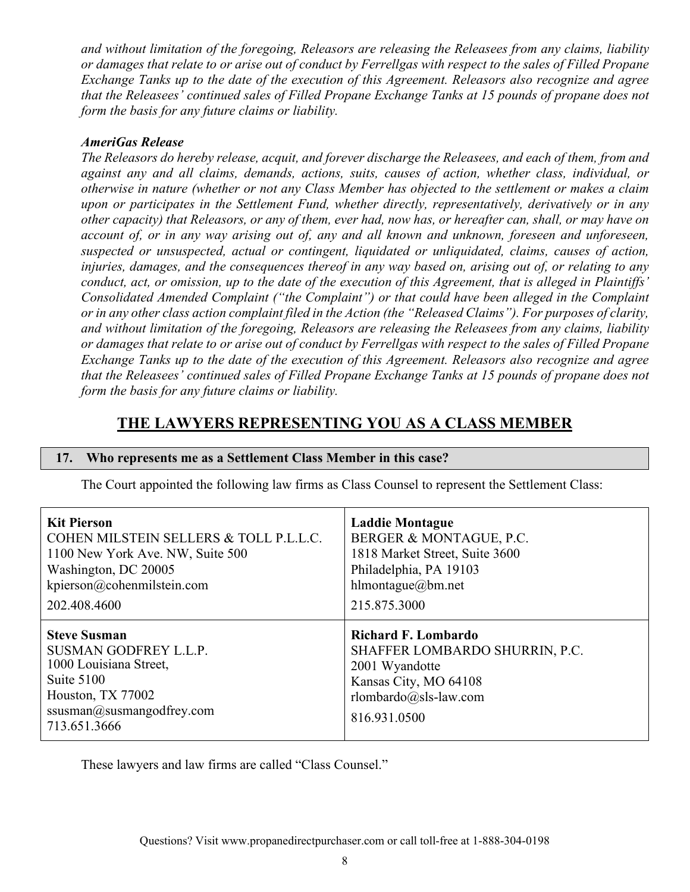*and without limitation of the foregoing, Releasors are releasing the Releasees from any claims, liability or damages that relate to or arise out of conduct by Ferrellgas with respect to the sales of Filled Propane Exchange Tanks up to the date of the execution of this Agreement. Releasors also recognize and agree that the Releasees' continued sales of Filled Propane Exchange Tanks at 15 pounds of propane does not form the basis for any future claims or liability.* 

### *AmeriGas Release*

*The Releasors do hereby release, acquit, and forever discharge the Releasees, and each of them, from and against any and all claims, demands, actions, suits, causes of action, whether class, individual, or otherwise in nature (whether or not any Class Member has objected to the settlement or makes a claim upon or participates in the Settlement Fund, whether directly, representatively, derivatively or in any other capacity) that Releasors, or any of them, ever had, now has, or hereafter can, shall, or may have on account of, or in any way arising out of, any and all known and unknown, foreseen and unforeseen, suspected or unsuspected, actual or contingent, liquidated or unliquidated, claims, causes of action, injuries, damages, and the consequences thereof in any way based on, arising out of, or relating to any conduct, act, or omission, up to the date of the execution of this Agreement, that is alleged in Plaintiffs' Consolidated Amended Complaint ("the Complaint") or that could have been alleged in the Complaint or in any other class action complaint filed in the Action (the "Released Claims"). For purposes of clarity, and without limitation of the foregoing, Releasors are releasing the Releasees from any claims, liability or damages that relate to or arise out of conduct by Ferrellgas with respect to the sales of Filled Propane Exchange Tanks up to the date of the execution of this Agreement. Releasors also recognize and agree that the Releasees' continued sales of Filled Propane Exchange Tanks at 15 pounds of propane does not form the basis for any future claims or liability.* 

## **THE LAWYERS REPRESENTING YOU AS A CLASS MEMBER**

#### **17. Who represents me as a Settlement Class Member in this case?**

The Court appointed the following law firms as Class Counsel to represent the Settlement Class:

| <b>Kit Pierson</b>                                                                                                                                     | <b>Laddie Montague</b>                                                                                                                           |
|--------------------------------------------------------------------------------------------------------------------------------------------------------|--------------------------------------------------------------------------------------------------------------------------------------------------|
| COHEN MILSTEIN SELLERS & TOLL P.L.L.C.                                                                                                                 | BERGER & MONTAGUE, P.C.                                                                                                                          |
| 1100 New York Ave. NW, Suite 500                                                                                                                       | 1818 Market Street, Suite 3600                                                                                                                   |
| Washington, DC 20005                                                                                                                                   | Philadelphia, PA 19103                                                                                                                           |
| kpierson@cohenmilstein.com                                                                                                                             | hlmontague@bm.net                                                                                                                                |
| 202.408.4600                                                                                                                                           | 215.875.3000                                                                                                                                     |
| <b>Steve Susman</b><br>SUSMAN GODFREY L.L.P.<br>1000 Louisiana Street,<br>Suite 5100<br>Houston, TX 77002<br>ssusman@susmangodfrey.com<br>713.651.3666 | <b>Richard F. Lombardo</b><br>SHAFFER LOMBARDO SHURRIN, P.C.<br>2001 Wyandotte<br>Kansas City, MO 64108<br>rlombardo@sls-law.com<br>816.931.0500 |

These lawyers and law firms are called "Class Counsel."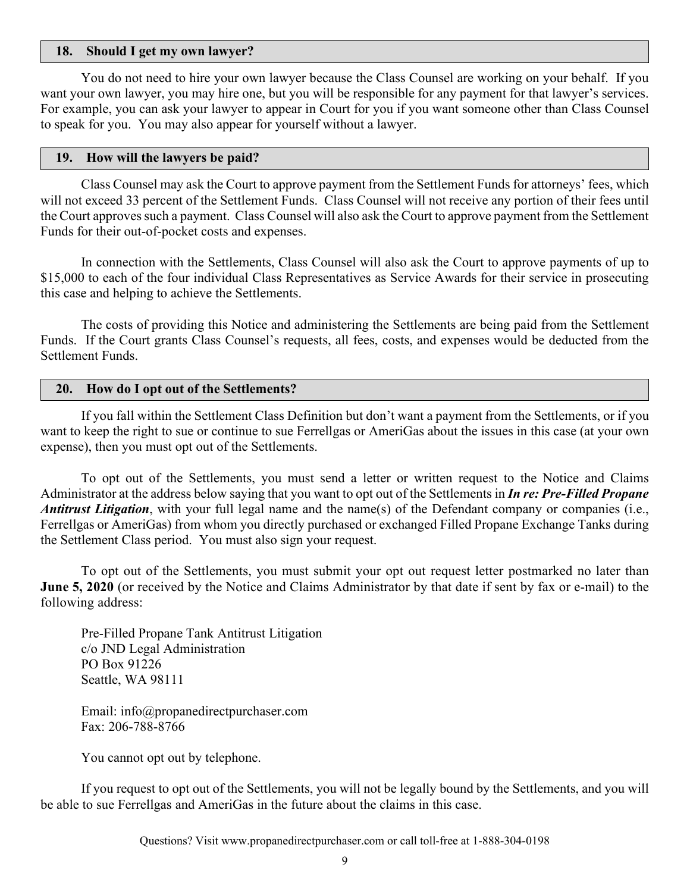#### **18. Should I get my own lawyer?**

You do not need to hire your own lawyer because the Class Counsel are working on your behalf. If you want your own lawyer, you may hire one, but you will be responsible for any payment for that lawyer's services. For example, you can ask your lawyer to appear in Court for you if you want someone other than Class Counsel to speak for you. You may also appear for yourself without a lawyer.

#### **19. How will the lawyers be paid?**

Class Counsel may ask the Court to approve payment from the Settlement Funds for attorneys' fees, which will not exceed 33 percent of the Settlement Funds. Class Counsel will not receive any portion of their fees until the Court approves such a payment. Class Counsel will also ask the Court to approve payment from the Settlement Funds for their out-of-pocket costs and expenses.

In connection with the Settlements, Class Counsel will also ask the Court to approve payments of up to \$15,000 to each of the four individual Class Representatives as Service Awards for their service in prosecuting this case and helping to achieve the Settlements.

The costs of providing this Notice and administering the Settlements are being paid from the Settlement Funds. If the Court grants Class Counsel's requests, all fees, costs, and expenses would be deducted from the Settlement Funds.

#### **20. How do I opt out of the Settlements?**

If you fall within the Settlement Class Definition but don't want a payment from the Settlements, or if you want to keep the right to sue or continue to sue Ferrellgas or AmeriGas about the issues in this case (at your own expense), then you must opt out of the Settlements.

To opt out of the Settlements, you must send a letter or written request to the Notice and Claims Administrator at the address below saying that you want to opt out of the Settlements in *In re: Pre-Filled Propane Antitrust Litigation*, with your full legal name and the name(s) of the Defendant company or companies (i.e., Ferrellgas or AmeriGas) from whom you directly purchased or exchanged Filled Propane Exchange Tanks during the Settlement Class period. You must also sign your request.

To opt out of the Settlements, you must submit your opt out request letter postmarked no later than **June 5, 2020** (or received by the Notice and Claims Administrator by that date if sent by fax or e-mail) to the following address:

Pre-Filled Propane Tank Antitrust Litigation c/o JND Legal Administration PO Box 91226 Seattle, WA 98111

Email: info@propanedirectpurchaser.com Fax: 206-788-8766

You cannot opt out by telephone.

If you request to opt out of the Settlements, you will not be legally bound by the Settlements, and you will be able to sue Ferrellgas and AmeriGas in the future about the claims in this case.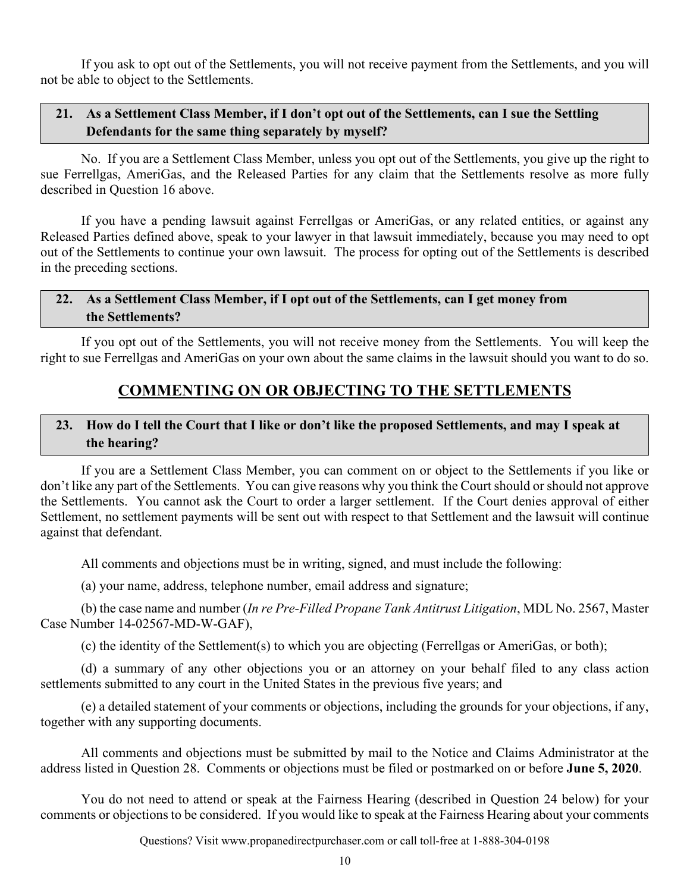If you ask to opt out of the Settlements, you will not receive payment from the Settlements, and you will not be able to object to the Settlements.

## **21. As a Settlement Class Member, if I don't opt out of the Settlements, can I sue the Settling Defendants for the same thing separately by myself?**

No. If you are a Settlement Class Member, unless you opt out of the Settlements, you give up the right to sue Ferrellgas, AmeriGas, and the Released Parties for any claim that the Settlements resolve as more fully described in Question 16 above.

If you have a pending lawsuit against Ferrellgas or AmeriGas, or any related entities, or against any Released Parties defined above, speak to your lawyer in that lawsuit immediately, because you may need to opt out of the Settlements to continue your own lawsuit. The process for opting out of the Settlements is described in the preceding sections.

## **22. As a Settlement Class Member, if I opt out of the Settlements, can I get money from the Settlements?**

If you opt out of the Settlements, you will not receive money from the Settlements. You will keep the right to sue Ferrellgas and AmeriGas on your own about the same claims in the lawsuit should you want to do so.

## **COMMENTING ON OR OBJECTING TO THE SETTLEMENTS**

## **23. How do I tell the Court that I like or don't like the proposed Settlements, and may I speak at the hearing?**

If you are a Settlement Class Member, you can comment on or object to the Settlements if you like or don't like any part of the Settlements. You can give reasons why you think the Court should or should not approve the Settlements. You cannot ask the Court to order a larger settlement. If the Court denies approval of either Settlement, no settlement payments will be sent out with respect to that Settlement and the lawsuit will continue against that defendant.

All comments and objections must be in writing, signed, and must include the following:

(a) your name, address, telephone number, email address and signature;

(b) the case name and number (*In re Pre-Filled Propane Tank Antitrust Litigation*, MDL No. 2567, Master Case Number 14-02567-MD-W-GAF),

(c) the identity of the Settlement(s) to which you are objecting (Ferrellgas or AmeriGas, or both);

(d) a summary of any other objections you or an attorney on your behalf filed to any class action settlements submitted to any court in the United States in the previous five years; and

(e) a detailed statement of your comments or objections, including the grounds for your objections, if any, together with any supporting documents.

All comments and objections must be submitted by mail to the Notice and Claims Administrator at the address listed in Question 28. Comments or objections must be filed or postmarked on or before **June 5, 2020**.

You do not need to attend or speak at the Fairness Hearing (described in Question 24 below) for your comments or objections to be considered. If you would like to speak at the Fairness Hearing about your comments

Questions? Visit www.propanedirectpurchaser.com or call toll-free at 1-888-304-0198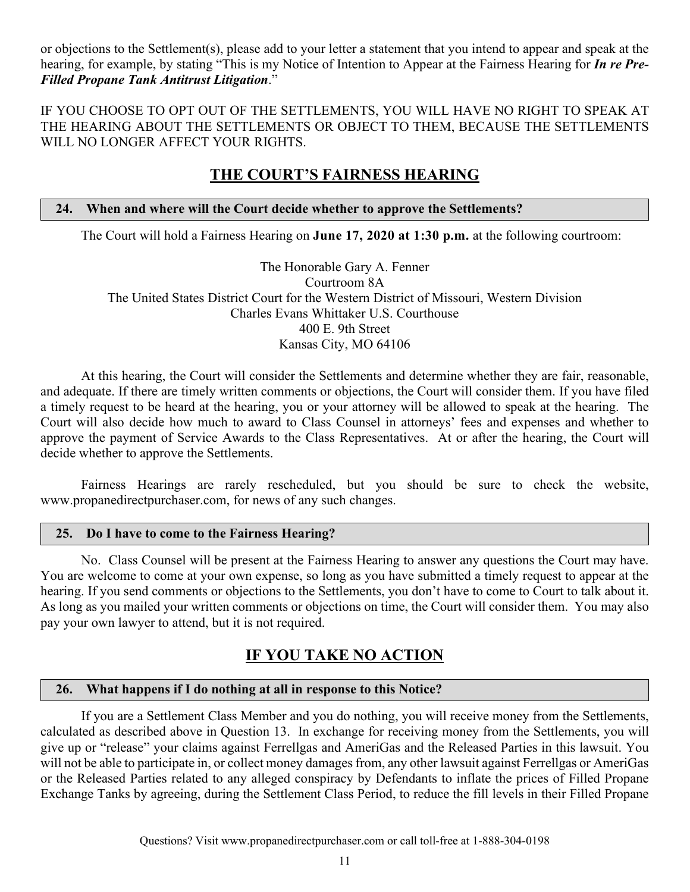or objections to the Settlement(s), please add to your letter a statement that you intend to appear and speak at the hearing, for example, by stating "This is my Notice of Intention to Appear at the Fairness Hearing for *In re Pre-Filled Propane Tank Antitrust Litigation*."

IF YOU CHOOSE TO OPT OUT OF THE SETTLEMENTS, YOU WILL HAVE NO RIGHT TO SPEAK AT THE HEARING ABOUT THE SETTLEMENTS OR OBJECT TO THEM, BECAUSE THE SETTLEMENTS WILL NO LONGER AFFECT YOUR RIGHTS.

## **THE COURT'S FAIRNESS HEARING**

### **24. When and where will the Court decide whether to approve the Settlements?**

The Court will hold a Fairness Hearing on **June 17, 2020 at 1:30 p.m.** at the following courtroom:

The Honorable Gary A. Fenner Courtroom 8A The United States District Court for the Western District of Missouri, Western Division Charles Evans Whittaker U.S. Courthouse 400 E. 9th Street Kansas City, MO 64106

At this hearing, the Court will consider the Settlements and determine whether they are fair, reasonable, and adequate. If there are timely written comments or objections, the Court will consider them. If you have filed a timely request to be heard at the hearing, you or your attorney will be allowed to speak at the hearing. The Court will also decide how much to award to Class Counsel in attorneys' fees and expenses and whether to approve the payment of Service Awards to the Class Representatives. At or after the hearing, the Court will decide whether to approve the Settlements.

Fairness Hearings are rarely rescheduled, but you should be sure to check the website, www.propanedirectpurchaser.com, for news of any such changes.

#### **25. Do I have to come to the Fairness Hearing?**

No. Class Counsel will be present at the Fairness Hearing to answer any questions the Court may have. You are welcome to come at your own expense, so long as you have submitted a timely request to appear at the hearing. If you send comments or objections to the Settlements, you don't have to come to Court to talk about it. As long as you mailed your written comments or objections on time, the Court will consider them. You may also pay your own lawyer to attend, but it is not required.

## **IF YOU TAKE NO ACTION**

#### **26. What happens if I do nothing at all in response to this Notice?**

If you are a Settlement Class Member and you do nothing, you will receive money from the Settlements, calculated as described above in Question 13. In exchange for receiving money from the Settlements, you will give up or "release" your claims against Ferrellgas and AmeriGas and the Released Parties in this lawsuit. You will not be able to participate in, or collect money damages from, any other lawsuit against Ferrellgas or AmeriGas or the Released Parties related to any alleged conspiracy by Defendants to inflate the prices of Filled Propane Exchange Tanks by agreeing, during the Settlement Class Period, to reduce the fill levels in their Filled Propane